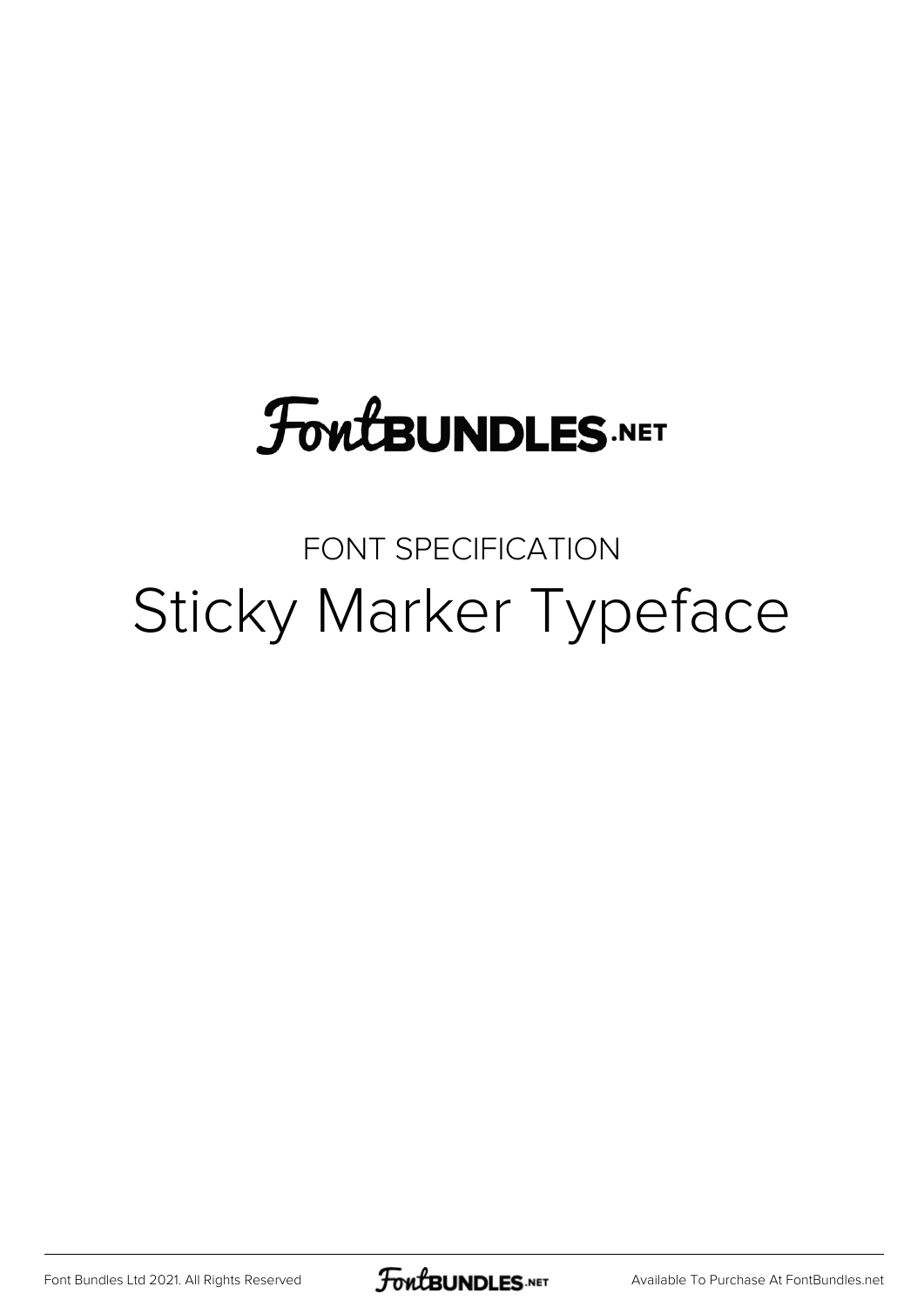# **FoutBUNDLES.NET**

# FONT SPECIFICATION Sticky Marker Typeface

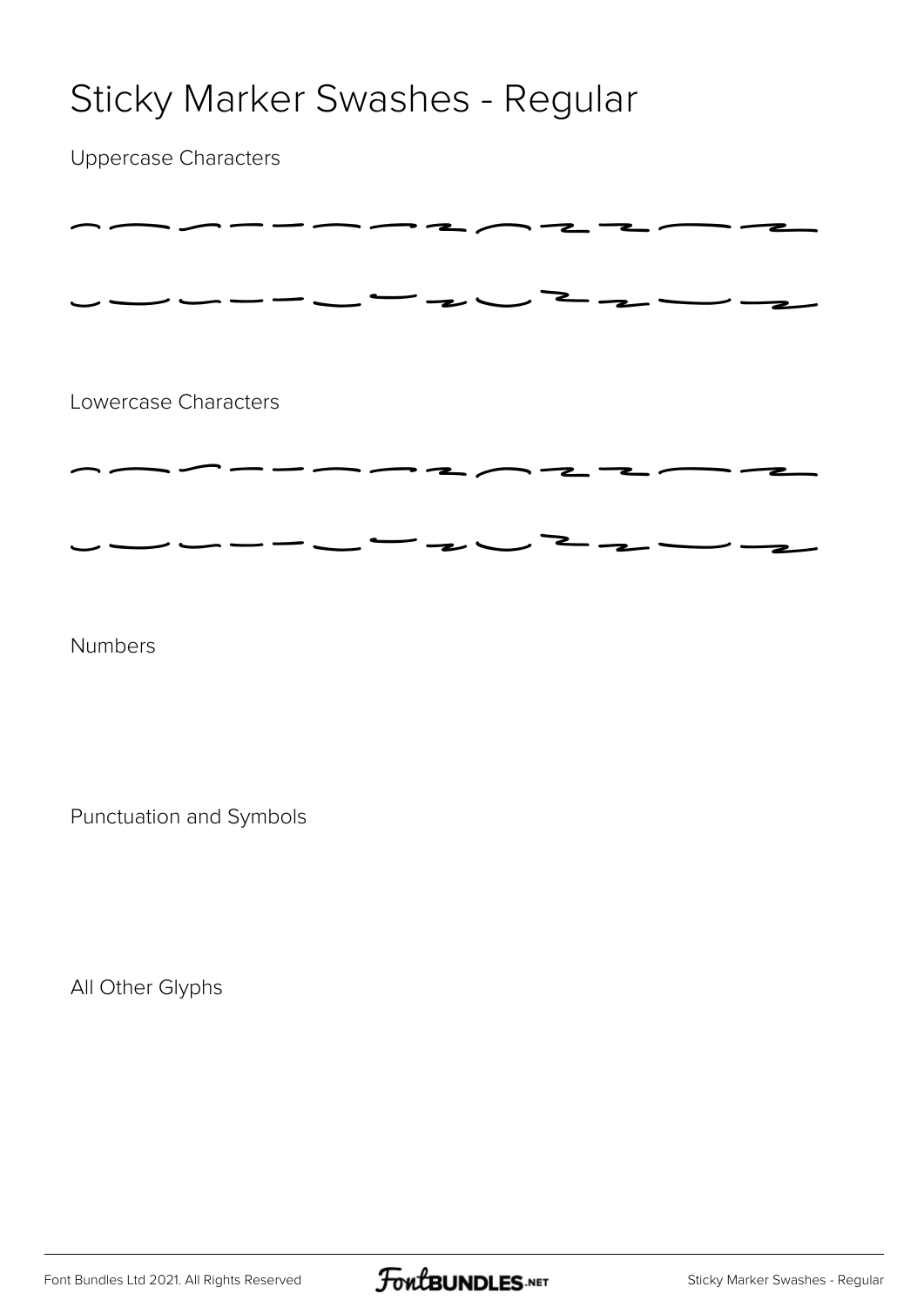### Sticky Marker Swashes - Regular

Uppercase Characters

| Lowercase Characters |  |
|----------------------|--|
|                      |  |
|                      |  |

Numbers

Punctuation and Symbols

All Other Glyphs

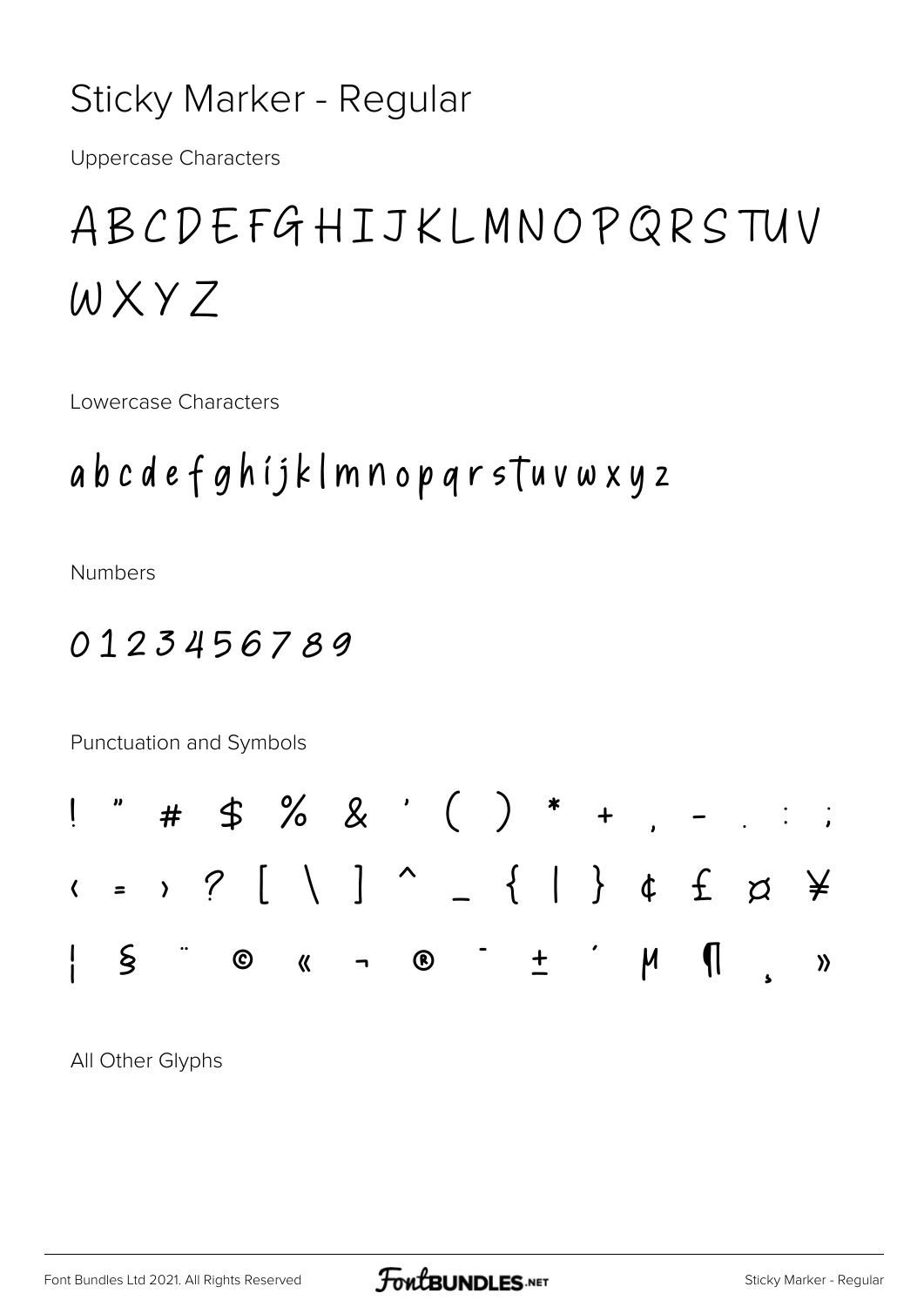### Sticky Marker - Regular

**Uppercase Characters** 

# ABCDEFGHIJKLMNOPQRSTUV WXYZ

Lowercase Characters

### abcdefghijklmnopqrsTuvwxyz

**Numbers** 

#### 0123456789

Punctuation and Symbols



All Other Glyphs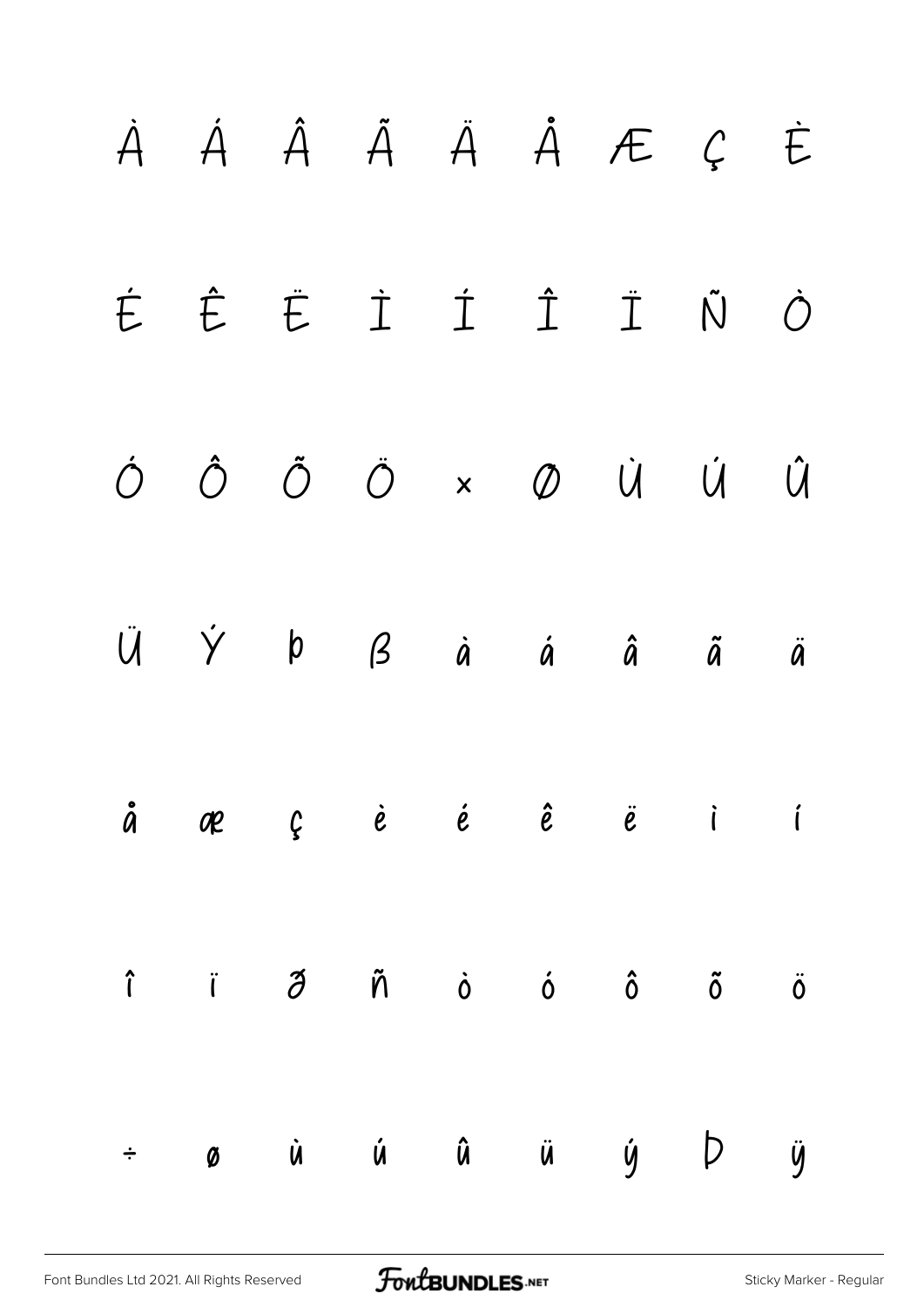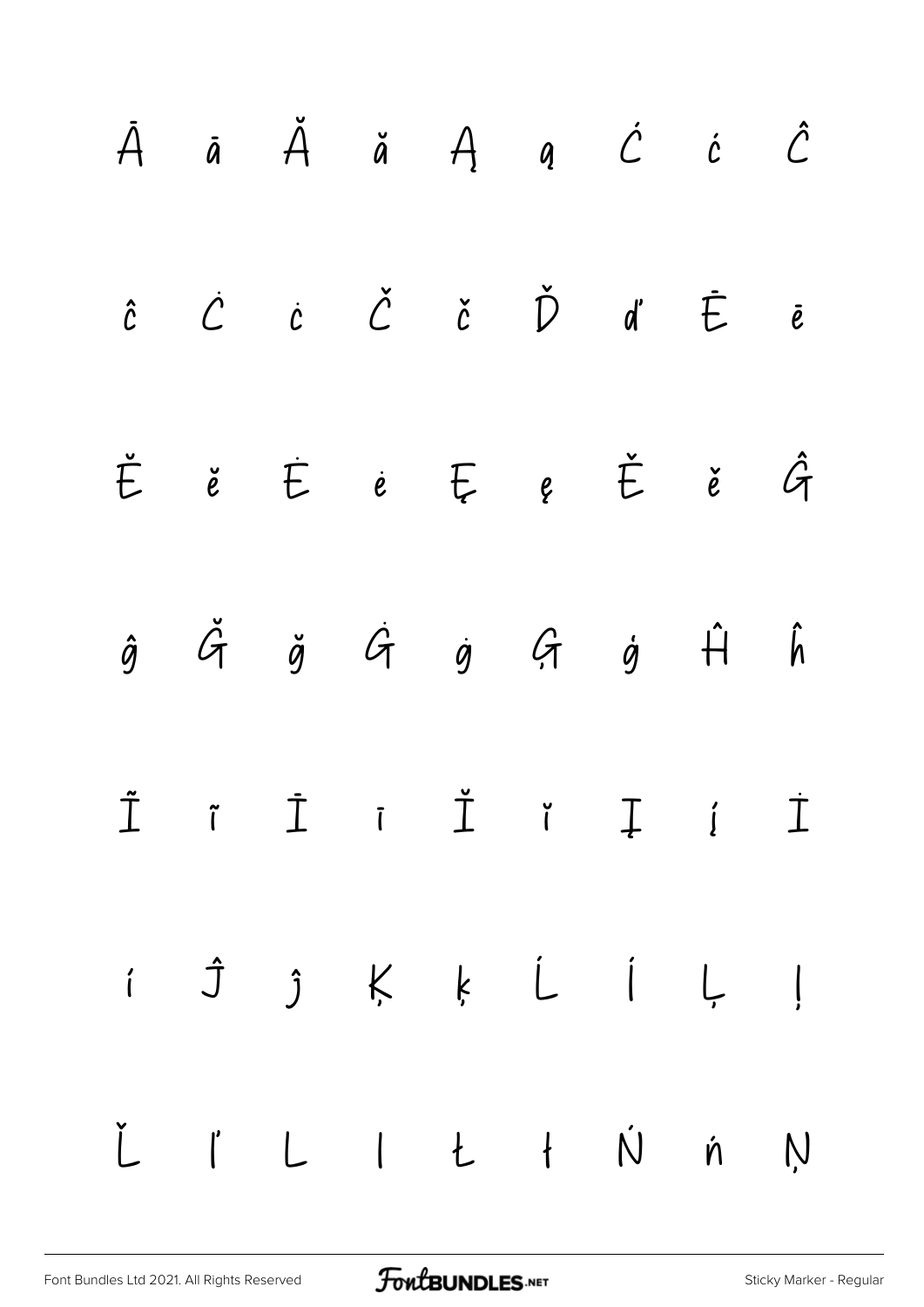|  |  | $\,\,\bar{A}$ ā $\,\,\tilde{A}$ ä $A$ a $\acute{C}$ i $\,\,\tilde{C}$                                                                                                                                                                                                                                                                                                                                                                                                                   |  |  |
|--|--|-----------------------------------------------------------------------------------------------------------------------------------------------------------------------------------------------------------------------------------------------------------------------------------------------------------------------------------------------------------------------------------------------------------------------------------------------------------------------------------------|--|--|
|  |  | $\hat{c}$ $\dot{C}$ $\dot{c}$ $\check{C}$ $\check{c}$ $\check{D}$ $\dot{d}$ $\check{E}$ $\bar{e}$                                                                                                                                                                                                                                                                                                                                                                                       |  |  |
|  |  | $\check{E}$ ě $\dot{E}$ ė $E$ ę $\check{E}$ ě $\hat{G}$                                                                                                                                                                                                                                                                                                                                                                                                                                 |  |  |
|  |  | $\begin{array}{ccccccccccccccccc} \hat{g} & \tilde{G} & \tilde{g} & \tilde{G} & \tilde{g} & \tilde{G} & \tilde{g} & \hat{H} & \hat{h} \end{array}$                                                                                                                                                                                                                                                                                                                                      |  |  |
|  |  | $\begin{array}{ccccccccccccccccc} \tilde{\mathbb{I}} & & \tilde{\mathbb{I}} & & \tilde{\mathbb{I}} & & \tilde{\mathbb{I}} & & \tilde{\mathbb{I}} & & \tilde{\mathbb{I}} & & \tilde{\mathbb{I}} & & \tilde{\mathbb{I}} & & \tilde{\mathbb{I}} & & \tilde{\mathbb{I}} & & \tilde{\mathbb{I}} & & \tilde{\mathbb{I}} & & \tilde{\mathbb{I}} & & \tilde{\mathbb{I}} & & \tilde{\mathbb{I}} & & \tilde{\mathbb{I}} & & \tilde{\mathbb{I}} & & \tilde{\mathbb{I}} & & \tilde{\mathbb{I}} & &$ |  |  |
|  |  | i Ĵ ĵ Ķ ķ Ĺ Í Ļ ļ                                                                                                                                                                                                                                                                                                                                                                                                                                                                       |  |  |
|  |  | Ľ ľ L I Ł ł Ń ń Ņ                                                                                                                                                                                                                                                                                                                                                                                                                                                                       |  |  |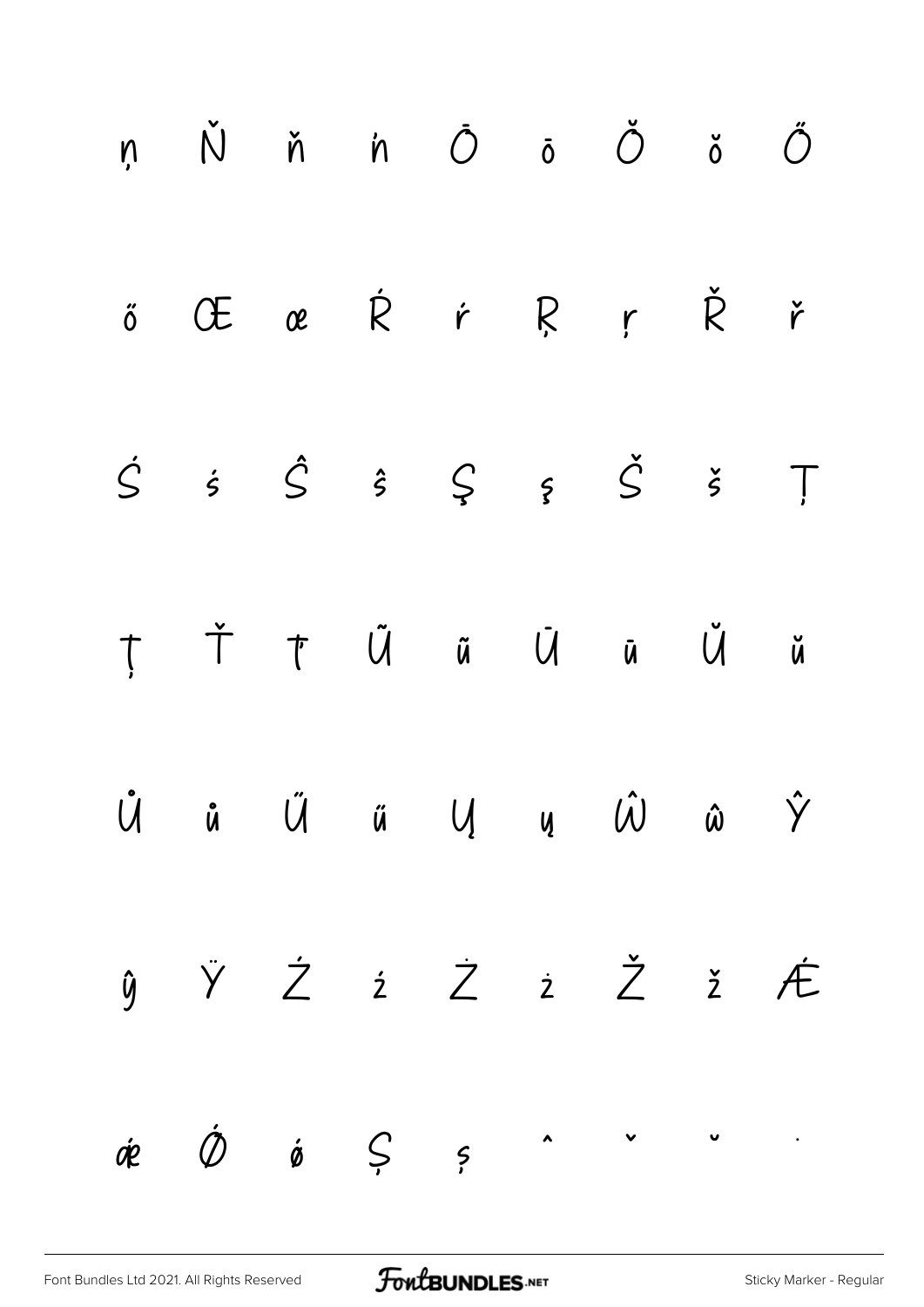| ņ Ň ň 'n Ō ō Ŏ ŏ Ő                                                                                                                                   |  |  |  |  |
|------------------------------------------------------------------------------------------------------------------------------------------------------|--|--|--|--|
| ő Œ œ Ŕ ŕ Ŗ ŗ Ř ř                                                                                                                                    |  |  |  |  |
| $\dot{S} \quad \dot{s} \quad \dot{S} \quad \dot{s} \quad \dot{S} \quad \dot{s} \quad \dot{S} \quad \dot{S} \quad \ddot{T}$                           |  |  |  |  |
| ȚŤ ȚŰ ũ Ū Ū Ŭ ŭ                                                                                                                                      |  |  |  |  |
| $\hat{U} \qquad \hat{u} \qquad \hat{U} \qquad \hat{u} \qquad U \qquad u \qquad \hat{U} \qquad \hat{u} \qquad \hat{Y}$                                |  |  |  |  |
| $\begin{array}{ccccccccccccccccccccc} \hat{y} & \hat{y} & \hat{Z} & \hat{z} & \hat{Z} & \hat{z} & \hat{Z} & \hat{z} & \hat{\mathcal{F}} \end{array}$ |  |  |  |  |
| $\dot{\phi} \qquad \dot{\phi} \qquad \dot{\phi} \qquad \zeta \qquad \zeta \qquad \qquad \qquad \cdots \qquad \qquad \cdots \qquad \qquad \cdots$     |  |  |  |  |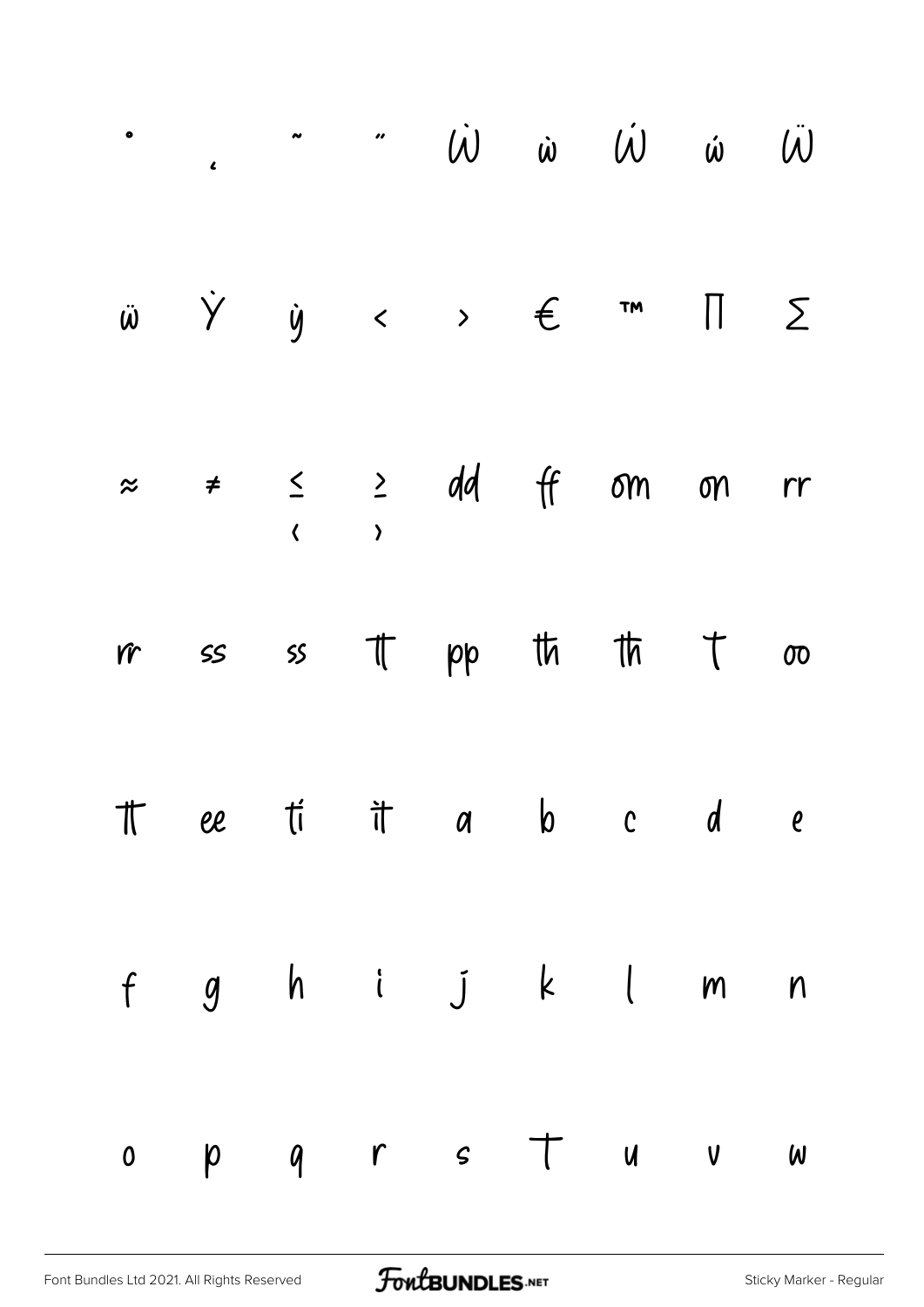|  |  |  | $\ddot{w}$ $\dot{Y}$ $\dot{y}$ $\leftrightarrow$ $\in$ $\pi$ $\P$ $\Sigma$                                                                 |  |
|--|--|--|--------------------------------------------------------------------------------------------------------------------------------------------|--|
|  |  |  | $\approx$ $\neq$ $\leq$ $\geq$ dd ff om on rr                                                                                              |  |
|  |  |  | $\text{if} \quad \text{is} \quad \text{is} \quad \text{if} \quad \text{pp} \quad \text{th} \quad \text{th} \quad \text{t} \quad \text{on}$ |  |
|  |  |  | The eti it as b c d e                                                                                                                      |  |
|  |  |  | f g h i j k l m n                                                                                                                          |  |
|  |  |  | op q r s t u v w                                                                                                                           |  |